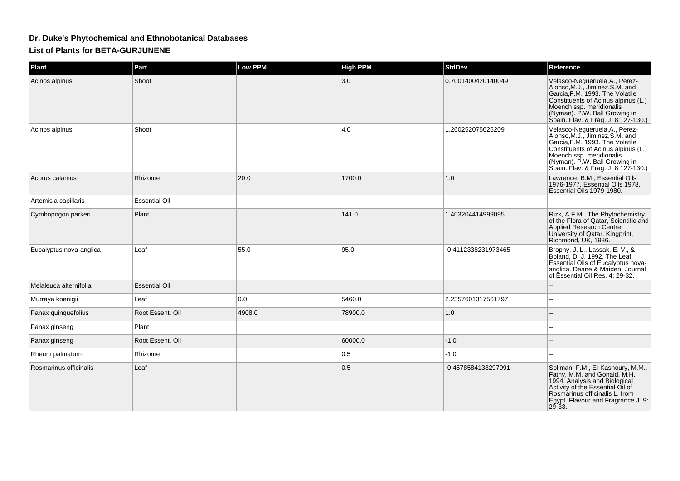## **Dr. Duke's Phytochemical and Ethnobotanical Databases**

**List of Plants for BETA-GURJUNENE**

| Plant                   | Part                 | Low PPM | <b>High PPM</b> | <b>StdDev</b>       | Reference                                                                                                                                                                                                                                       |
|-------------------------|----------------------|---------|-----------------|---------------------|-------------------------------------------------------------------------------------------------------------------------------------------------------------------------------------------------------------------------------------------------|
| Acinos alpinus          | Shoot                |         | 3.0             | 0.7001400420140049  | Velasco-Negueruela, A., Perez-<br>Alonso, M.J., Jiminez, S.M. and<br>Garcia, F.M. 1993. The Volatile<br>Constituents of Acinus alpinus (L.)<br>Moench ssp. meridionalis<br>(Nyman). P.W. Ball Growing in<br>Spain. Flav. & Frag. J. 8:127-130.) |
| Acinos alpinus          | Shoot                |         | 4.0             | 1.260252075625209   | Velasco-Negueruela, A., Perez-<br>Alonso, M.J., Jiminez, S.M. and<br>Garcia, F.M. 1993. The Volatile<br>Constituents of Acinus alpinus (L.)<br>Moench ssp. meridionalis<br>(Nyman). P.W. Ball Growing in<br>Spain. Flav. & Frag. J. 8:127-130.) |
| Acorus calamus          | Rhizome              | 20.0    | 1700.0          | 1.0                 | Lawrence, B.M., Essential Oils<br>1976-1977, Essential Oils 1978,<br>Essential Oils 1979-1980.                                                                                                                                                  |
| Artemisia capillaris    | <b>Essential Oil</b> |         |                 |                     |                                                                                                                                                                                                                                                 |
| Cymbopogon parkeri      | Plant                |         | 141.0           | 1.403204414999095   | Rizk, A.F.M., The Phytochemistry<br>of the Flora of Qatar, Scientific and<br>Applied Research Centre,<br>University of Qatar, Kingprint,<br>Richmond, UK, 1986.                                                                                 |
| Eucalyptus nova-anglica | Leaf                 | 55.0    | 95.0            | -0.4112338231973465 | Brophy, J. L., Lassak, E. V., &<br>Boland, D. J. 1992. The Leaf<br>Essential Oils of Eucalyptus nova-<br>anglica. Deane & Maiden. Journal<br>of Essential Oil Res. 4: 29-32.                                                                    |
| Melaleuca alternifolia  | <b>Essential Oil</b> |         |                 |                     |                                                                                                                                                                                                                                                 |
| Murraya koenigii        | Leaf                 | 0.0     | 5460.0          | 2.2357601317561797  |                                                                                                                                                                                                                                                 |
| Panax quinquefolius     | Root Essent. Oil     | 4908.0  | 78900.0         | 1.0                 |                                                                                                                                                                                                                                                 |
| Panax ginseng           | Plant                |         |                 |                     |                                                                                                                                                                                                                                                 |
| Panax ginseng           | Root Essent, Oil     |         | 60000.0         | $-1.0$              |                                                                                                                                                                                                                                                 |
| Rheum palmatum          | Rhizome              |         | 0.5             | $-1.0$              |                                                                                                                                                                                                                                                 |
| Rosmarinus officinalis  | Leaf                 |         | 0.5             | -0.4578584138297991 | Soliman, F.M., El-Kashoury, M.M.,<br>Fathy, M.M. and Gonaid, M.H.<br>1994. Analysis and Biological<br>Activity of the Essential Oil of<br>Rosmarinus officinalis L. from<br>Egypt. Flavour and Fragrance J. 9:<br>$29 - 33$ .                   |